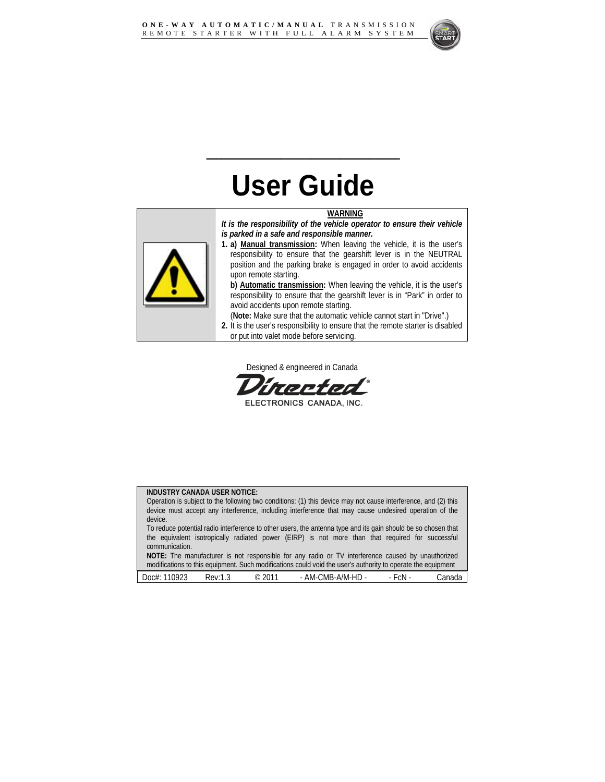

# **User Guide**

**\_\_\_\_\_\_\_\_\_\_\_\_\_** 

#### **WARNING**

*It is the responsibility of the vehicle operator to ensure their vehicle is parked in a safe and responsible manner.* 



**1. a) Manual transmission:** When leaving the vehicle, it is the user's responsibility to ensure that the gearshift lever is in the NEUTRAL position and the parking brake is engaged in order to avoid accidents upon remote starting.

**b) Automatic transmission:** When leaving the vehicle, it is the user's responsibility to ensure that the gearshift lever is in "Park" in order to avoid accidents upon remote starting.

(**Note:** Make sure that the automatic vehicle cannot start in "Drive".)

**2.** It is the user's responsibility to ensure that the remote starter is disabled or put into valet mode before servicing.

Designed & engineered in Canada

ELECTRONICS CANADA, INC.

#### **INDUSTRY CANADA USER NOTICE:**

Operation is subject to the following two conditions: (1) this device may not cause interference, and (2) this device must accept any interference, including interference that may cause undesired operation of the device. To reduce potential radio interference to other users, the antenna type and its gain should be so chosen that the equivalent isotropically radiated power (EIRP) is not more than that required for successful communication. **NOTE:** The manufacturer is not responsible for any radio or TV interference caused by unauthorized

modifications to this equipment. Such modifications could void the user's authority to operate the equipment

| $\sim$<br>ገር<br>$00c$ #<br>ں ے ' | sen:<br>ں ، | ገበኀ<br>$\odot$<br>⊥∪ | ٠HD<br>.:MF<br>AM-<br>$\sqrt{N}$<br>IVI-<br><br>`- | . .<br>≏N⊧<br>ິ | $-1$<br>'م. . |
|----------------------------------|-------------|----------------------|----------------------------------------------------|-----------------|---------------|
|                                  |             |                      |                                                    |                 |               |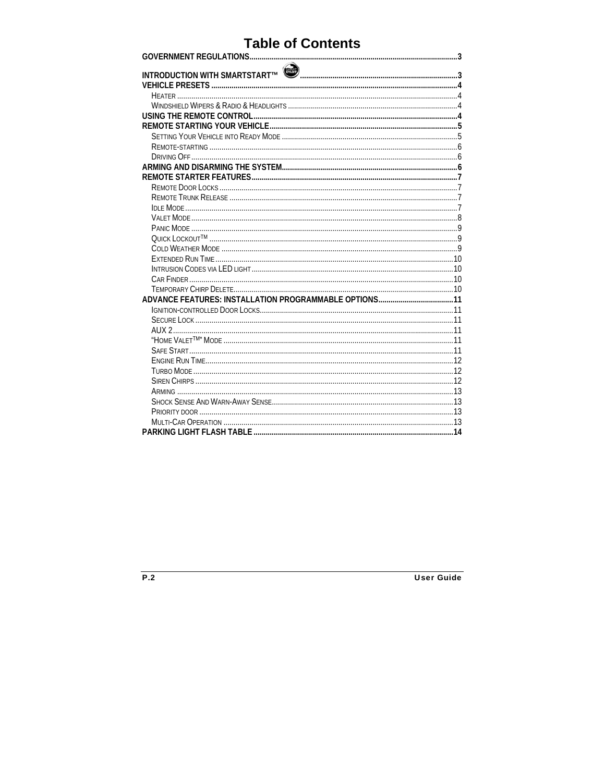### **Table of Contents**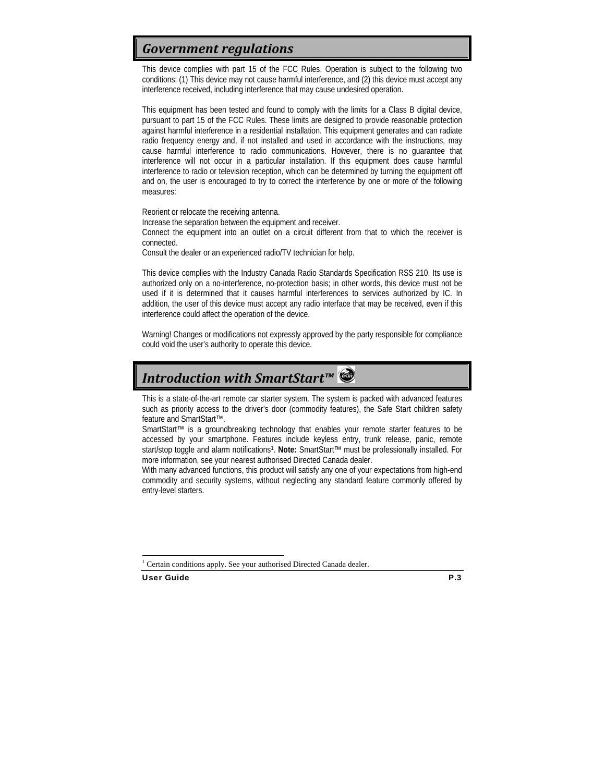### *Government regulations*

This device complies with part 15 of the FCC Rules. Operation is subject to the following two conditions: (1) This device may not cause harmful interference, and (2) this device must accept any interference received, including interference that may cause undesired operation.

This equipment has been tested and found to comply with the limits for a Class B digital device, pursuant to part 15 of the FCC Rules. These limits are designed to provide reasonable protection against harmful interference in a residential installation. This equipment generates and can radiate radio frequency energy and, if not installed and used in accordance with the instructions, may cause harmful interference to radio communications. However, there is no guarantee that interference will not occur in a particular installation. If this equipment does cause harmful interference to radio or television reception, which can be determined by turning the equipment off and on, the user is encouraged to try to correct the interference by one or more of the following measures:

Reorient or relocate the receiving antenna.

Increase the separation between the equipment and receiver.

Connect the equipment into an outlet on a circuit different from that to which the receiver is connected.

Consult the dealer or an experienced radio/TV technician for help.

This device complies with the Industry Canada Radio Standards Specification RSS 210. Its use is authorized only on a no-interference, no-protection basis; in other words, this device must not be used if it is determined that it causes harmful interferences to services authorized by IC. In addition, the user of this device must accept any radio interface that may be received, even if this interference could affect the operation of the device.

Warning! Changes or modifications not expressly approved by the party responsible for compliance could void the user's authority to operate this device.

### *Introduction with SmartStart™*

This is a state-of-the-art remote car starter system. The system is packed with advanced features such as priority access to the driver's door (commodity features), the Safe Start children safety feature and SmartStart™.

SmartStart™ is a groundbreaking technology that enables your remote starter features to be accessed by your smartphone. Features include keyless entry, trunk release, panic, remote start/stop toggle and alarm notifications1. **Note:** SmartStart™ must be professionally installed. For more information, see your nearest authorised Directed Canada dealer.

With many advanced functions, this product will satisfy any one of your expectations from high-end commodity and security systems, without neglecting any standard feature commonly offered by entry-level starters.

1

<sup>1</sup> Certain conditions apply. See your authorised Directed Canada dealer.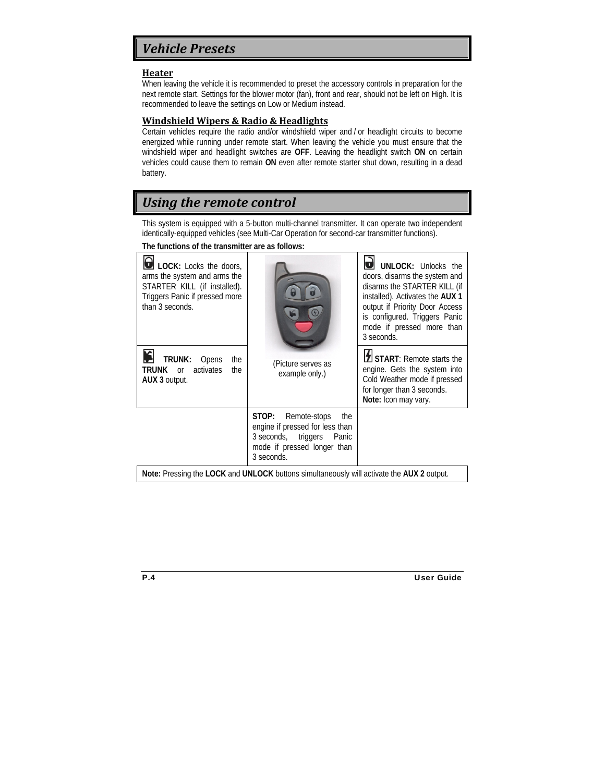### *Vehicle Presets*

#### **Heater**

When leaving the vehicle it is recommended to preset the accessory controls in preparation for the next remote start. Settings for the blower motor (fan), front and rear, should not be left on High. It is recommended to leave the settings on Low or Medium instead.

#### **Windshield Wipers & Radio & Headlights**

Certain vehicles require the radio and/or windshield wiper and / or headlight circuits to become energized while running under remote start. When leaving the vehicle you must ensure that the windshield wiper and headlight switches are **OFF**. Leaving the headlight switch **ON** on certain vehicles could cause them to remain **ON** even after remote starter shut down, resulting in a dead battery.

### *Using the remote control*

This system is equipped with a 5-button multi-channel transmitter. It can operate two independent identically-equipped vehicles (see Multi-Car Operation for second-car transmitter functions).

#### **The functions of the transmitter are as follows:**

| LOCK: Locks the doors,<br>arms the system and arms the<br>STARTER KILL (if installed).<br>Triggers Panic if pressed more<br>than 3 seconds. |                                                                                                                                              | <b>UNLOCK: Unlocks the</b><br>doors, disarms the system and<br>disarms the STARTER KILL (if<br>installed). Activates the AUX 1<br>output if Priority Door Access<br>is configured. Triggers Panic<br>mode if pressed more than<br>3 seconds. |  |
|---------------------------------------------------------------------------------------------------------------------------------------------|----------------------------------------------------------------------------------------------------------------------------------------------|----------------------------------------------------------------------------------------------------------------------------------------------------------------------------------------------------------------------------------------------|--|
| TRUNK:<br>Opens<br>the<br>activates<br>TRUNK or<br>the<br>AUX 3 output.                                                                     | (Picture serves as<br>example only.)                                                                                                         | I START: Remote starts the<br>engine. Gets the system into<br>Cold Weather mode if pressed<br>for longer than 3 seconds.<br>Note: Icon may vary.                                                                                             |  |
|                                                                                                                                             | STOP:<br>Remote-stops<br>the<br>engine if pressed for less than<br>3 seconds, triggers<br>Panic<br>mode if pressed longer than<br>3 seconds. |                                                                                                                                                                                                                                              |  |

**Note:** Pressing the **LOCK** and **UNLOCK** buttons simultaneously will activate the **AUX 2** output.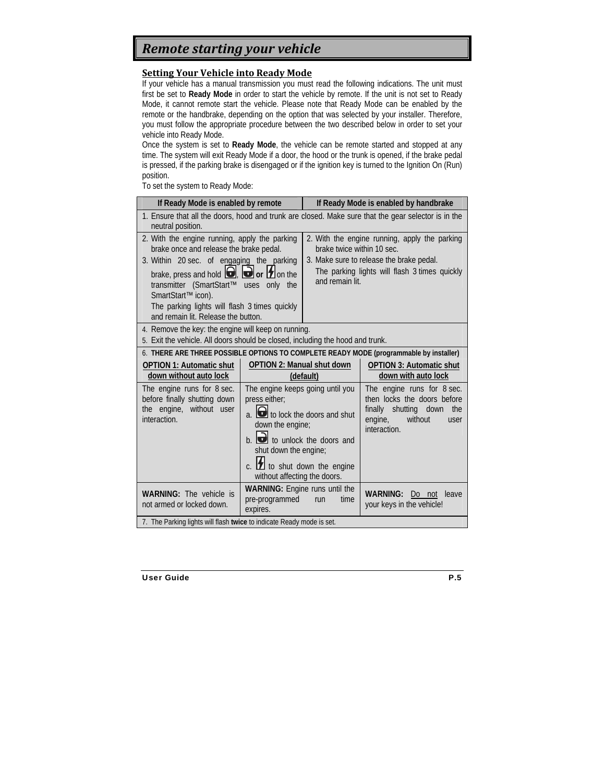### *Remote starting your vehicle*

#### **Setting Your Vehicle into Ready Mode**

If your vehicle has a manual transmission you must read the following indications. The unit must first be set to **Ready Mode** in order to start the vehicle by remote. If the unit is not set to Ready Mode, it cannot remote start the vehicle. Please note that Ready Mode can be enabled by the remote or the handbrake, depending on the option that was selected by your installer. Therefore, you must follow the appropriate procedure between the two described below in order to set your vehicle into Ready Mode.

Once the system is set to **Ready Mode**, the vehicle can be remote started and stopped at any time. The system will exit Ready Mode if a door, the hood or the trunk is opened, if the brake pedal is pressed, if the parking brake is disengaged or if the ignition key is turned to the Ignition On (Run) position.

To set the system to Ready Mode:

| If Ready Mode is enabled by remote                                                                                                                                                              |                                                                                                                                                                                                                                                                        | If Ready Mode is enabled by handbrake                                                                                                                                    |                                                                                                                                            |  |
|-------------------------------------------------------------------------------------------------------------------------------------------------------------------------------------------------|------------------------------------------------------------------------------------------------------------------------------------------------------------------------------------------------------------------------------------------------------------------------|--------------------------------------------------------------------------------------------------------------------------------------------------------------------------|--------------------------------------------------------------------------------------------------------------------------------------------|--|
| 1. Ensure that all the doors, hood and trunk are closed. Make sure that the gear selector is in the<br>neutral position.                                                                        |                                                                                                                                                                                                                                                                        |                                                                                                                                                                          |                                                                                                                                            |  |
| 2. With the engine running, apply the parking<br>brake once and release the brake pedal.<br>3. Within 20 sec. of engaging the parking<br>brake, press and hold $\Box$ , $\Box$ or $\Box$ on the |                                                                                                                                                                                                                                                                        | 2. With the engine running, apply the parking<br>brake twice within 10 sec.<br>3. Make sure to release the brake pedal.<br>The parking lights will flash 3 times quickly |                                                                                                                                            |  |
| transmitter (SmartStart™<br>uses<br>only the<br>SmartStart™ icon).                                                                                                                              |                                                                                                                                                                                                                                                                        | and remain lit.                                                                                                                                                          |                                                                                                                                            |  |
| The parking lights will flash 3 times guickly<br>and remain lit. Release the button.                                                                                                            |                                                                                                                                                                                                                                                                        |                                                                                                                                                                          |                                                                                                                                            |  |
| 4. Remove the key: the engine will keep on running.<br>5. Exit the vehicle. All doors should be closed, including the hood and trunk.                                                           |                                                                                                                                                                                                                                                                        |                                                                                                                                                                          |                                                                                                                                            |  |
|                                                                                                                                                                                                 |                                                                                                                                                                                                                                                                        |                                                                                                                                                                          | 6. THERE ARE THREE POSSIBLE OPTIONS TO COMPLETE READY MODE (programmable by installer)                                                     |  |
| <b>OPTION 1: Automatic shut</b><br>down without auto lock                                                                                                                                       | <b>OPTION 2: Manual shut down</b>                                                                                                                                                                                                                                      | (default)                                                                                                                                                                | <b>OPTION 3: Automatic shut</b><br>down with auto lock                                                                                     |  |
| The engine runs for 8 sec.<br>before finally shutting down<br>the engine, without user<br>interaction.                                                                                          | The engine keeps going until you<br>press either;<br>a. <b>d</b> to lock the doors and shut<br>down the engine;<br>$b.$ $\Box$ to unlock the doors and<br>shut down the engine;<br>c. $\boxed{\blacktriangle}$ to shut down the engine<br>without affecting the doors. |                                                                                                                                                                          | The engine runs for 8 sec.<br>then locks the doors before<br>finally<br>shutting down<br>the<br>engine,<br>without<br>user<br>interaction. |  |
| <b>WARNING:</b> The vehicle is<br>not armed or locked down.                                                                                                                                     | WARNING: Engine runs until the<br>pre-programmed<br>expires.                                                                                                                                                                                                           | time<br>run                                                                                                                                                              | <b>WARNING:</b><br>Do not<br>leave<br>your keys in the vehicle!                                                                            |  |
| 7. The Parking lights will flash twice to indicate Ready mode is set.                                                                                                                           |                                                                                                                                                                                                                                                                        |                                                                                                                                                                          |                                                                                                                                            |  |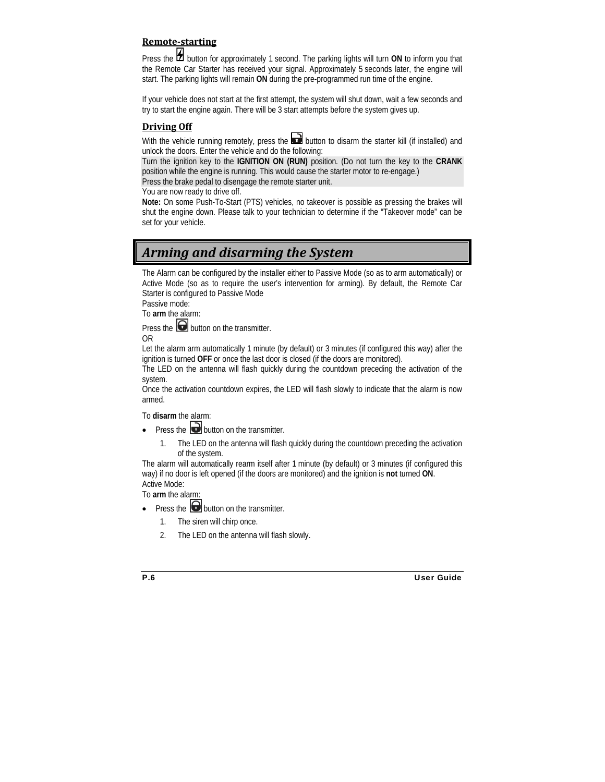#### **Remotestarting**

Press the **1** button for approximately 1 second. The parking lights will turn ON to inform you that the Remote Car Starter has received your signal. Approximately 5 seconds later, the engine will start. The parking lights will remain **ON** during the pre-programmed run time of the engine.

If your vehicle does not start at the first attempt, the system will shut down, wait a few seconds and try to start the engine again. There will be 3 start attempts before the system gives up.

#### **Driving Off**

With the vehicle running remotely, press the **button to disarm** the starter kill (if installed) and unlock the doors. Enter the vehicle and do the following:

Turn the ignition key to the **IGNITION ON (RUN)** position. (Do not turn the key to the **CRANK**  position while the engine is running. This would cause the starter motor to re-engage.)

Press the brake pedal to disengage the remote starter unit.

You are now ready to drive off.

**Note:** On some Push-To-Start (PTS) vehicles, no takeover is possible as pressing the brakes will shut the engine down. Please talk to your technician to determine if the "Takeover mode" can be set for your vehicle.

### *Arming and disarming the System*

The Alarm can be configured by the installer either to Passive Mode (so as to arm automatically) or Active Mode (so as to require the user's intervention for arming). By default, the Remote Car Starter is configured to Passive Mode

Passive mode:

To **arm** the alarm:

Press the  $\Box$  button on the transmitter

OR

Let the alarm arm automatically 1 minute (by default) or 3 minutes (if configured this way) after the ignition is turned **OFF** or once the last door is closed (if the doors are monitored).

The LED on the antenna will flash quickly during the countdown preceding the activation of the system.

Once the activation countdown expires, the LED will flash slowly to indicate that the alarm is now armed.

To **disarm** the alarm:

- Press the **button** on the transmitter.
	- 1. The LED on the antenna will flash quickly during the countdown preceding the activation of the system.

The alarm will automatically rearm itself after 1 minute (by default) or 3 minutes (if configured this way) if no door is left opened (if the doors are monitored) and the ignition is **not** turned **ON**. Active Mode:

To **arm** the alarm:

- Press the  $\Box$  button on the transmitter.
	- 1. The siren will chirp once.
	- 2. The LED on the antenna will flash slowly.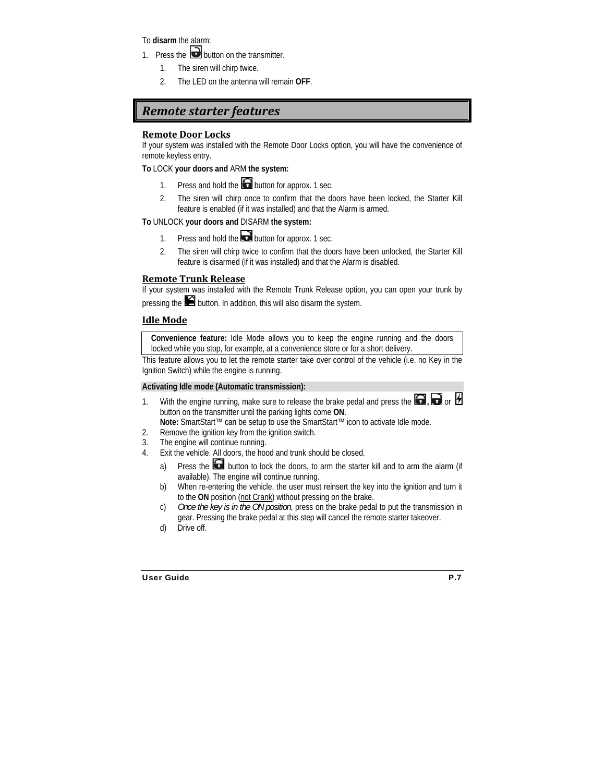To **disarm** the alarm:

- 1. Press the  $\Box$  button on the transmitter.
	- 1. The siren will chirp twice.
	- 2. The LED on the antenna will remain **OFF**.

### *Remote starter features*

#### **Remote Door Locks**

If your system was installed with the Remote Door Locks option, you will have the convenience of remote keyless entry.

#### **To** LOCK **your doors and** ARM **the system:**

- 1. Press and hold the **button for approx.** 1 sec.
- 2. The siren will chirp once to confirm that the doors have been locked, the Starter Kill feature is enabled (if it was installed) and that the Alarm is armed.

#### **To** UNLOCK **your doors and** DISARM **the system:**

- 1. Press and hold the **button for approx.** 1 sec.
- 2. The siren will chirp twice to confirm that the doors have been unlocked, the Starter Kill feature is disarmed (if it was installed) and that the Alarm is disabled.

#### **Remote Trunk Release**

If your system was installed with the Remote Trunk Release option, you can open your trunk by pressing the **button.** In addition, this will also disarm the system.

#### **Idle Mode**

**Convenience feature:** Idle Mode allows you to keep the engine running and the doors locked while you stop, for example, at a convenience store or for a short delivery.

This feature allows you to let the remote starter take over control of the vehicle (i.e. no Key in the Ignition Switch) while the engine is running.

#### **Activating Idle mode (Automatic transmission):**

1. With the engine running, make sure to release the brake pedal and press the  $\Box$ ,  $\Box$  or  $\Box$ button on the transmitter until the parking lights come **ON**.

**Note:** SmartStart™ can be setup to use the SmartStart™ icon to activate Idle mode.

- 2. Remove the ignition key from the ignition switch.
- 3. The engine will continue running.
- 4. Exit the vehicle. All doors, the hood and trunk should be closed.
	- a) Press the **button to lock the doors**, to arm the starter kill and to arm the alarm (if available). The engine will continue running.
	- b) When re-entering the vehicle, the user must reinsert the key into the ignition and turn it to the **ON** position (not Crank) without pressing on the brake.
	- c) *Once the key is in the ON position*, press on the brake pedal to put the transmission in gear. Pressing the brake pedal at this step will cancel the remote starter takeover.
	- d) Drive off.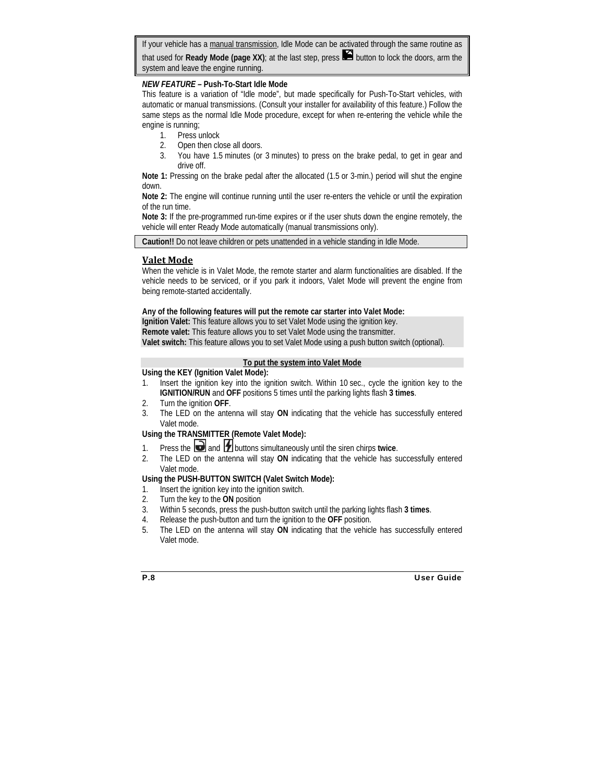If your vehicle has a manual transmission, Idle Mode can be activated through the same routine as that used for **Ready Mode (page XX)**; at the last step, press **14** button to lock the doors, arm the system and leave the engine running.

#### *NEW FEATURE –* **Push-To-Start Idle Mode**

This feature is a variation of "Idle mode", but made specifically for Push-To-Start vehicles, with automatic or manual transmissions. (Consult your installer for availability of this feature.) Follow the same steps as the normal Idle Mode procedure, except for when re-entering the vehicle while the engine is running;

- 1. Press unlock
- 2. Open then close all doors.
- 3. You have 1.5 minutes (or 3 minutes) to press on the brake pedal, to get in gear and drive off.

**Note 1:** Pressing on the brake pedal after the allocated (1.5 or 3-min.) period will shut the engine down.

**Note 2:** The engine will continue running until the user re-enters the vehicle or until the expiration of the run time.

**Note 3:** If the pre-programmed run-time expires or if the user shuts down the engine remotely, the vehicle will enter Ready Mode automatically (manual transmissions only).

**Caution!!** Do not leave children or pets unattended in a vehicle standing in Idle Mode.

#### **Valet Mode**

When the vehicle is in Valet Mode, the remote starter and alarm functionalities are disabled. If the vehicle needs to be serviced, or if you park it indoors, Valet Mode will prevent the engine from being remote-started accidentally.

#### **Any of the following features will put the remote car starter into Valet Mode:**

**Ignition Valet:** This feature allows you to set Valet Mode using the ignition key. **Remote valet:** This feature allows you to set Valet Mode using the transmitter. **Valet switch:** This feature allows you to set Valet Mode using a push button switch (optional).

#### **To put the system into Valet Mode**

#### **Using the KEY (Ignition Valet Mode):**

- 1. Insert the ignition key into the ignition switch. Within 10 sec., cycle the ignition key to the **IGNITION/RUN** and **OFF** positions 5 times until the parking lights flash **3 times**.
- 2. Turn the ignition **OFF**.
- 3. The LED on the antenna will stay **ON** indicating that the vehicle has successfully entered Valet mode.

#### **Using the TRANSMITTER (Remote Valet Mode):**

- 1. Press the  $\Box$  and  $\Box$  buttons simultaneously until the siren chirps twice.
- 2. The LED on the antenna will stay **ON** indicating that the vehicle has successfully entered Valet mode.

#### **Using the PUSH-BUTTON SWITCH (Valet Switch Mode):**

- 1. Insert the ignition key into the ignition switch.
- 2. Turn the key to the **ON** position
- 3. Within 5 seconds, press the push-button switch until the parking lights flash **3 times**.
- 4. Release the push-button and turn the ignition to the **OFF** position.
- 5. The LED on the antenna will stay **ON** indicating that the vehicle has successfully entered Valet mode.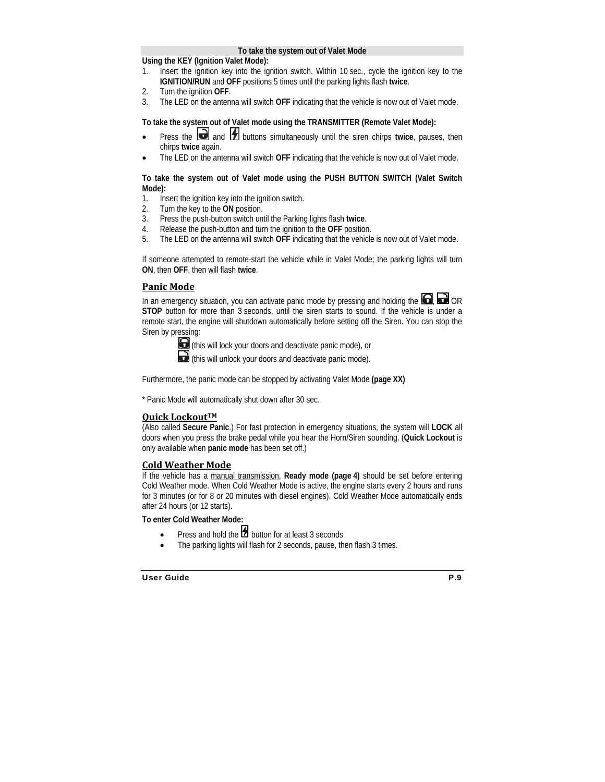#### **To take the system out of Valet Mode**

#### **Using the KEY (Ignition Valet Mode):**

- 1. Insert the ignition key into the ignition switch. Within 10 sec., cycle the ignition key to the **IGNITION/RUN** and **OFF** positions 5 times until the parking lights flash **twice**.
- 2. Turn the ignition **OFF**.
- 3. The LED on the antenna will switch **OFF** indicating that the vehicle is now out of Valet mode.

#### **To take the system out of Valet mode using the TRANSMITTER (Remote Valet Mode):**

- Press the **a** and **1** buttons simultaneously until the siren chirps twice, pauses, then chirps **twice** again.
- The LED on the antenna will switch **OFF** indicating that the vehicle is now out of Valet mode.

#### **To take the system out of Valet mode using the PUSH BUTTON SWITCH (Valet Switch Mode):**

- 1. Insert the ignition key into the ignition switch.
- 2. Turn the key to the **ON** position.
- 3. Press the push-button switch until the Parking lights flash **twice**.
- 4. Release the push-button and turn the ignition to the **OFF** position.
- 5. The LED on the antenna will switch **OFF** indicating that the vehicle is now out of Valet mode.

If someone attempted to remote-start the vehicle while in Valet Mode; the parking lights will turn **ON**, then **OFF**, then will flash **twice**.

#### **Panic Mode**

In an emergency situation, you can activate panic mode by pressing and holding the  $\Box$ ,  $\Box$  OR **STOP** button for more than 3 seconds, until the siren starts to sound. If the vehicle is under a remote start, the engine will shutdown automatically before setting off the Siren. You can stop the Siren by pressing:



(this will lock your doors and deactivate panic mode), or

(this will unlock your doors and deactivate panic mode).

Furthermore, the panic mode can be stopped by activating Valet Mode **(page XX)**

\* Panic Mode will automatically shut down after 30 sec.

#### **Quick LockoutTM**

(Also called **Secure Panic**.) For fast protection in emergency situations, the system will **LOCK** all doors when you press the brake pedal while you hear the Horn/Siren sounding. (**Quick Lockout** is only available when **panic mode** has been set off.)

#### **Cold Weather Mode**

If the vehicle has a manual transmission, **Ready mode (page 4)** should be set before entering Cold Weather mode. When Cold Weather Mode is active, the engine starts every 2 hours and runs for 3 minutes (or for 8 or 20 minutes with diesel engines). Cold Weather Mode automatically ends after 24 hours (or 12 starts).

#### **To enter Cold Weather Mode:**

- Press and hold the  $\overline{\mathbf{B}}$  button for at least 3 seconds
- The parking lights will flash for 2 seconds, pause, then flash 3 times.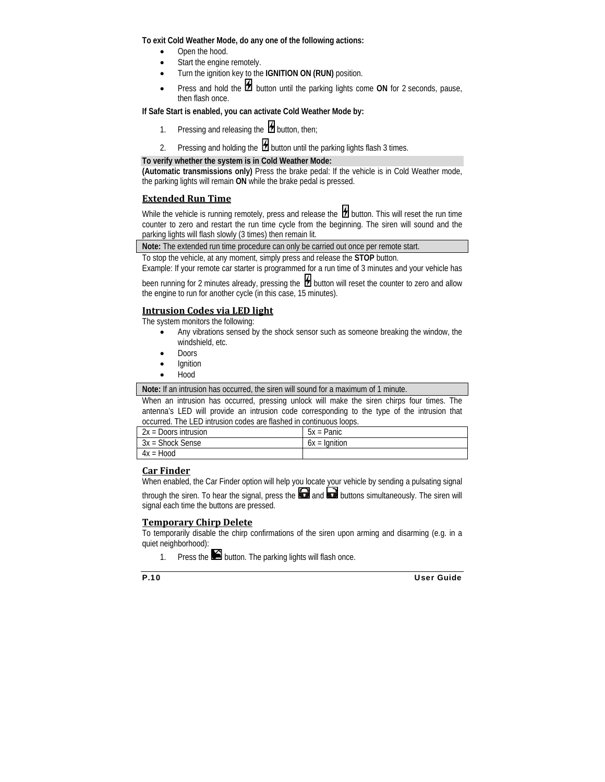**To exit Cold Weather Mode, do any one of the following actions:** 

- Open the hood.
- Start the engine remotely.
- Turn the ignition key to the **IGNITION ON (RUN)** position.
- Press and hold the **H** button until the parking lights come ON for 2 seconds, pause, then flash once.

#### **If Safe Start is enabled, you can activate Cold Weather Mode by:**

- 1. Pressing and releasing the  $\sharp$  button, then;
- 2. Pressing and holding the  $\boxplus$  button until the parking lights flash 3 times.

#### **To verify whether the system is in Cold Weather Mode:**

**(Automatic transmissions only)** Press the brake pedal: If the vehicle is in Cold Weather mode, the parking lights will remain **ON** while the brake pedal is pressed.

#### **Extended Run Time**

While the vehicle is running remotely, press and release the  $\mathcal H$  button. This will reset the run time counter to zero and restart the run time cycle from the beginning. The siren will sound and the parking lights will flash slowly (3 times) then remain lit.

**Note:** The extended run time procedure can only be carried out once per remote start.

To stop the vehicle, at any moment, simply press and release the **STOP** button.

Example: If your remote car starter is programmed for a run time of 3 minutes and your vehicle has

been running for 2 minutes already, pressing the  $\mathcal H$  button will reset the counter to zero and allow the engine to run for another cycle (in this case, 15 minutes).

#### **Intrusion Codes via LED light**

The system monitors the following:

- Any vibrations sensed by the shock sensor such as someone breaking the window, the windshield etc.
- Doors
- **Ignition**
- Hood

**Note:** If an intrusion has occurred, the siren will sound for a maximum of 1 minute.

When an intrusion has occurred, pressing unlock will make the siren chirps four times. The antenna's LED will provide an intrusion code corresponding to the type of the intrusion that occurred. The LED intrusion codes are flashed in continuous loops.

| $2x =$ Doors intrusion | $5x =$ Panic    |
|------------------------|-----------------|
| 3x = Shock Sense       | $6x =$ Ignition |
| $4x = Hood$            |                 |

#### **Car Finder**

When enabled, the Car Finder option will help you locate your vehicle by sending a pulsating signal

through the siren. To hear the signal, press the  $\bigodot$  and  $\bigodot$  buttons simultaneously. The siren will signal each time the buttons are pressed.

#### **Temporary Chirp Delete**

To temporarily disable the chirp confirmations of the siren upon arming and disarming (e.g. in a quiet neighborhood):

1. Press the  $\blacksquare$  button. The parking lights will flash once.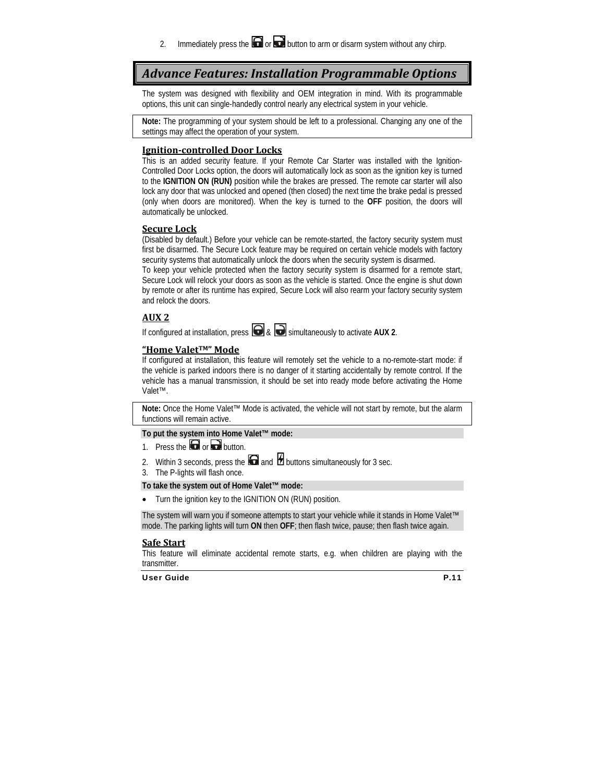2. Immediately press the  $\Box$  or  $\Box$  button to arm or disarm system without any chirp.

### *Advance Features: Installation Programmable Options*

The system was designed with flexibility and OEM integration in mind. With its programmable options, this unit can single-handedly control nearly any electrical system in your vehicle.

**Note:** The programming of your system should be left to a professional. Changing any one of the settings may affect the operation of your system.

#### **Ignitioncontrolled Door Locks**

This is an added security feature. If your Remote Car Starter was installed with the Ignition-Controlled Door Locks option, the doors will automatically lock as soon as the ignition key is turned to the **IGNITION ON (RUN)** position while the brakes are pressed. The remote car starter will also lock any door that was unlocked and opened (then closed) the next time the brake pedal is pressed (only when doors are monitored). When the key is turned to the **OFF** position, the doors will automatically be unlocked.

#### **Secure Lock**

(Disabled by default.) Before your vehicle can be remote-started, the factory security system must first be disarmed. The Secure Lock feature may be required on certain vehicle models with factory security systems that automatically unlock the doors when the security system is disarmed.

To keep your vehicle protected when the factory security system is disarmed for a remote start, Secure Lock will relock your doors as soon as the vehicle is started. Once the engine is shut down by remote or after its runtime has expired, Secure Lock will also rearm your factory security system and relock the doors.

#### **AUX 2**

If configured at installation, press  $\bigcirc$  &  $\bigcirc$  simultaneously to activate AUX 2.

#### **"Home ValetTM" Mode**

If configured at installation, this feature will remotely set the vehicle to a no-remote-start mode: if the vehicle is parked indoors there is no danger of it starting accidentally by remote control. If the vehicle has a manual transmission, it should be set into ready mode before activating the Home Valet™.

**Note:** Once the Home Valet™ Mode is activated, the vehicle will not start by remote, but the alarm functions will remain active.

#### **To put the system into Home Valet™ mode:**

- 1. Press the  $\Box$  or  $\Box$  button.
- 2. Within 3 seconds, press the  $\Box$  and  $\Box$  buttons simultaneously for 3 sec.
- 3. The P-lights will flash once.

#### **To take the system out of Home Valet™ mode:**

• Turn the ignition key to the IGNITION ON (RUN) position.

The system will warn you if someone attempts to start your vehicle while it stands in Home Valet™ mode. The parking lights will turn **ON** then **OFF**; then flash twice, pause; then flash twice again.

#### **Safe Start**

This feature will eliminate accidental remote starts, e.g. when children are playing with the transmitter.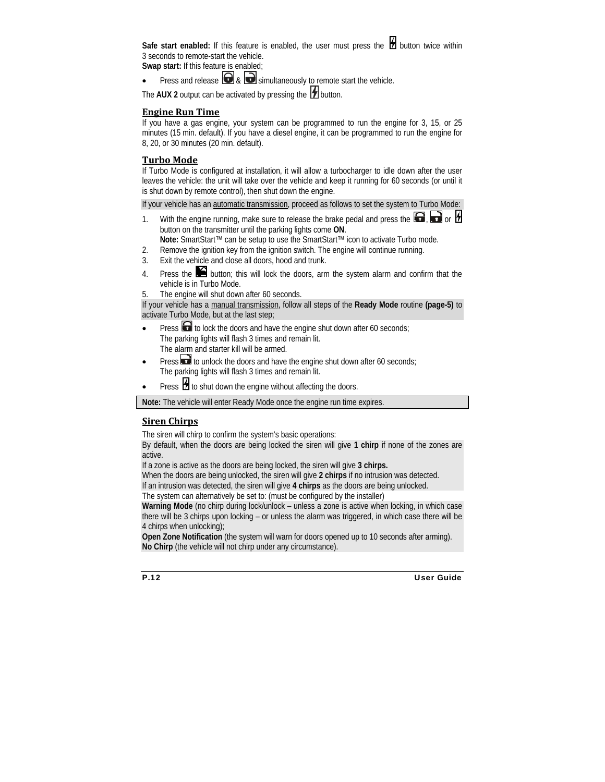Safe start enabled: If this feature is enabled, the user must press the **H** button twice within 3 seconds to remote-start the vehicle.

**Swap start:** If this feature is enabled;

Press and release  $\bigcirc$  &  $\bigcirc$  simultaneously to remote start the vehicle.

The  $AUX 2$  output can be activated by pressing the  $b$  button.

#### **Engine Run Time**

If you have a gas engine, your system can be programmed to run the engine for 3, 15, or 25 minutes (15 min. default). If you have a diesel engine, it can be programmed to run the engine for 8, 20, or 30 minutes (20 min. default).

#### **Turbo Mode**

If Turbo Mode is configured at installation, it will allow a turbocharger to idle down after the user leaves the vehicle: the unit will take over the vehicle and keep it running for 60 seconds (or until it is shut down by remote control), then shut down the engine.

If your vehicle has an automatic transmission, proceed as follows to set the system to Turbo Mode:

- 1. With the engine running, make sure to release the brake pedal and press the  $\Box$ ,  $\Box$  or  $\Box$ button on the transmitter until the parking lights come **ON**.
	- **Note:** SmartStart™ can be setup to use the SmartStart™ icon to activate Turbo mode.
- 2. Remove the ignition key from the ignition switch. The engine will continue running.
- 3. Exit the vehicle and close all doors, hood and trunk.
- 4. Press the  $\blacktriangleright$  button; this will lock the doors, arm the system alarm and confirm that the vehicle is in Turbo Mode.
- 5. The engine will shut down after 60 seconds.

If your vehicle has a manual transmission, follow all steps of the **Ready Mode** routine **(page-5)** to activate Turbo Mode, but at the last step;

- Press  $\blacksquare$  to lock the doors and have the engine shut down after 60 seconds; The parking lights will flash 3 times and remain lit. The alarm and starter kill will be armed.
- Press **th** to unlock the doors and have the engine shut down after 60 seconds; The parking lights will flash 3 times and remain lit.
- Press  $\mathcal H$  to shut down the engine without affecting the doors.

**Note:** The vehicle will enter Ready Mode once the engine run time expires.

#### **Siren Chirps**

The siren will chirp to confirm the system's basic operations:

By default, when the doors are being locked the siren will give **1 chirp** if none of the zones are active.

If a zone is active as the doors are being locked, the siren will give **3 chirps.**

When the doors are being unlocked, the siren will give **2 chirps** if no intrusion was detected.

If an intrusion was detected, the siren will give **4 chirps** as the doors are being unlocked.

The system can alternatively be set to: (must be configured by the installer)

**Warning Mode** (no chirp during lock/unlock – unless a zone is active when locking, in which case there will be 3 chirps upon locking – or unless the alarm was triggered, in which case there will be 4 chirps when unlocking);

**Open Zone Notification** (the system will warn for doors opened up to 10 seconds after arming). **No Chirp** (the vehicle will not chirp under any circumstance).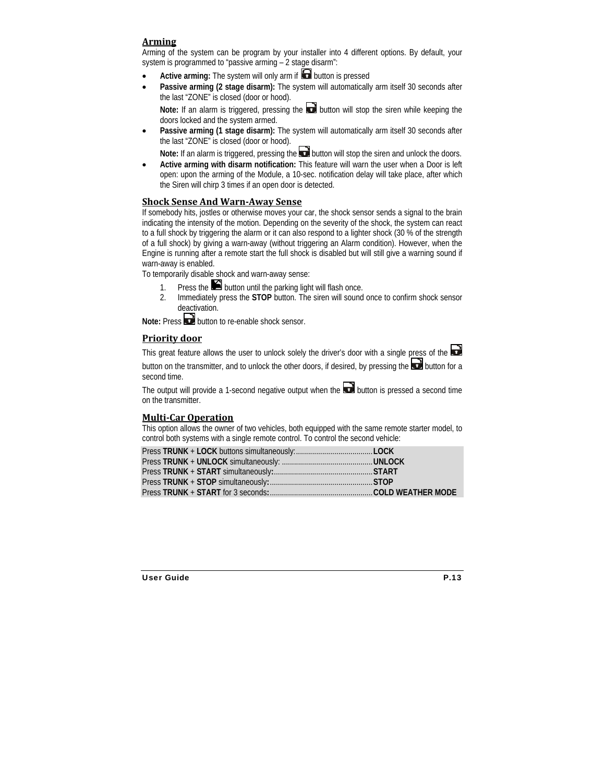#### **Arming**

Arming of the system can be program by your installer into 4 different options. By default, your system is programmed to "passive arming – 2 stage disarm":

- Active arming: The system will only arm if **D** button is pressed
- **Passive arming (2 stage disarm):** The system will automatically arm itself 30 seconds after the last "ZONE" is closed (door or hood).

Note: If an alarm is triggered, pressing the **button** will stop the siren while keeping the doors locked and the system armed.

Passive arming (1 stage disarm): The system will automatically arm itself 30 seconds after the last "ZONE" is closed (door or hood).

Note: If an alarm is triggered, pressing the **button will stop the siren and unlock the doors.** 

• **Active arming with disarm notification:** This feature will warn the user when a Door is left open: upon the arming of the Module, a 10-sec. notification delay will take place, after which the Siren will chirp 3 times if an open door is detected.

#### **Shock Sense And WarnAway Sense**

If somebody hits, jostles or otherwise moves your car, the shock sensor sends a signal to the brain indicating the intensity of the motion. Depending on the severity of the shock, the system can react to a full shock by triggering the alarm or it can also respond to a lighter shock (30 % of the strength of a full shock) by giving a warn-away (without triggering an Alarm condition). However, when the Engine is running after a remote start the full shock is disabled but will still give a warning sound if warn-away is enabled.

To temporarily disable shock and warn-away sense:

- 1. Press the  $\blacksquare$  button until the parking light will flash once.
- 2. Immediately press the **STOP** button. The siren will sound once to confirm shock sensor deactivation.

**Note:** Press **b**utton to re-enable shock sensor

#### **Priority door**

This great feature allows the user to unlock solely the driver's door with a single press of the  $\Box$ 

button on the transmitter, and to unlock the other doors, if desired, by pressing the  $\Box$  button for a second time.

The output will provide a 1-second negative output when the  $\Box$  button is pressed a second time on the transmitter.

#### **MultiCar Operation**

This option allows the owner of two vehicles, both equipped with the same remote starter model, to control both systems with a single remote control. To control the second vehicle: